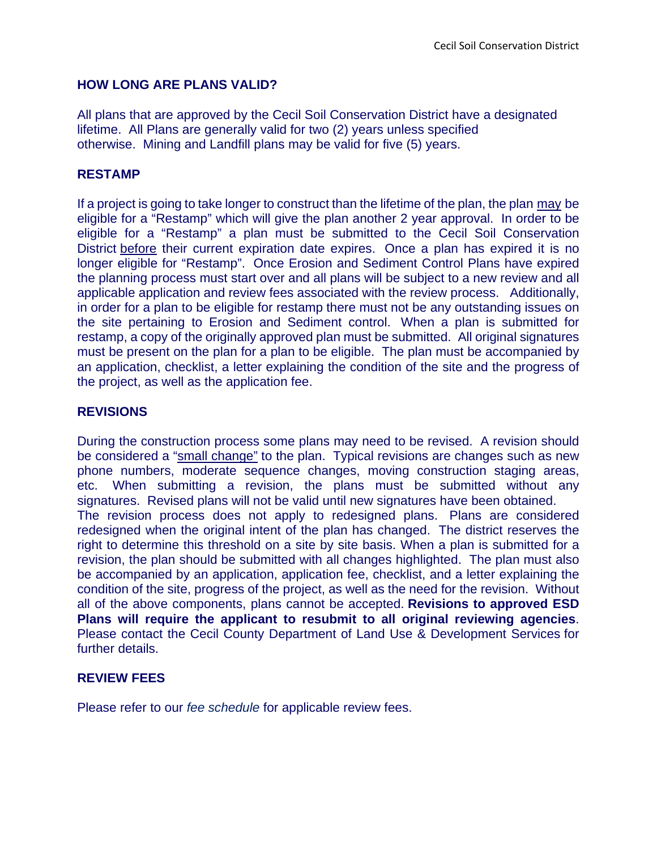### **HOW LONG ARE PLANS VALID?**

All plans that are approved by the Cecil Soil Conservation District have a designated lifetime. All Plans are generally valid for two (2) years unless specified otherwise. Mining and Landfill plans may be valid for five (5) years.

## **RESTAMP**

If a project is going to take longer to construct than the lifetime of the plan, the plan may be eligible for a "Restamp" which will give the plan another 2 year approval. In order to be eligible for a "Restamp" a plan must be submitted to the Cecil Soil Conservation District before their current expiration date expires. Once a plan has expired it is no longer eligible for "Restamp". Once Erosion and Sediment Control Plans have expired the planning process must start over and all plans will be subject to a new review and all applicable application and review fees associated with the review process. Additionally, in order for a plan to be eligible for restamp there must not be any outstanding issues on the site pertaining to Erosion and Sediment control. When a plan is submitted for restamp, a copy of the originally approved plan must be submitted. All original signatures must be present on the plan for a plan to be eligible. The plan must be accompanied by an application, checklist, a letter explaining the condition of the site and the progress of the project, as well as the application fee.

# **REVISIONS**

During the construction process some plans may need to be revised. A revision should be considered a "small change" to the plan. Typical revisions are changes such as new phone numbers, moderate sequence changes, moving construction staging areas, etc. When submitting a revision, the plans must be submitted without any signatures. Revised plans will not be valid until new signatures have been obtained. The revision process does not apply to redesigned plans. Plans are considered redesigned when the original intent of the plan has changed. The district reserves the right to determine this threshold on a site by site basis. When a plan is submitted for a revision, the plan should be submitted with all changes highlighted. The plan must also be accompanied by an application, application fee, checklist, and a letter explaining the condition of the site, progress of the project, as well as the need for the revision. Without all of the above components, plans cannot be accepted. **Revisions to approved ESD Plans will require the applicant to resubmit to all original reviewing agencies**. Please contact the Cecil County Department of Land Use & Development Services for further details.

#### **REVIEW FEES**

Please refer to our *[fee schedule](http://www.cecilscd.com/E&S/PDF/2012_Fee_Schedule%20Guidelines.pdf)* for applicable review fees.